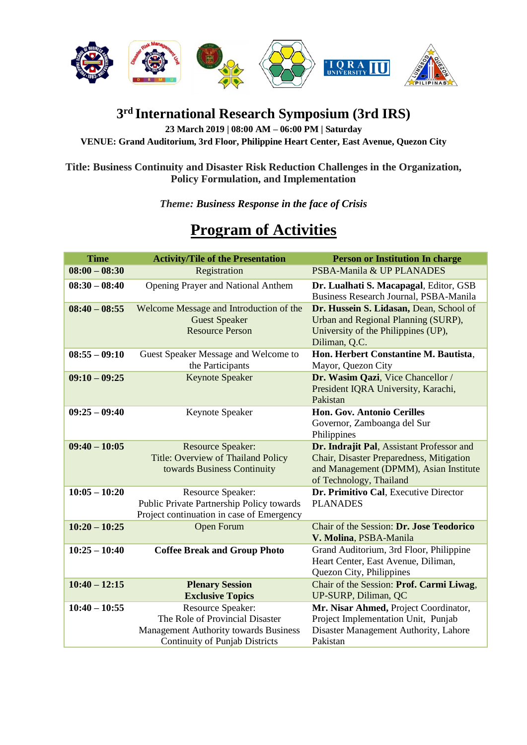

## **3 rd International Research Symposium (3rd IRS)**

**23 March 2019 | 08:00 AM – 06:00 PM | Saturday VENUE: Grand Auditorium, 3rd Floor, Philippine Heart Center, East Avenue, Quezon City**

## **Title: Business Continuity and Disaster Risk Reduction Challenges in the Organization, Policy Formulation, and Implementation**

*Theme: Business Response in the face of Crisis*

## **Program of Activities**

| <b>Time</b>     | <b>Activity/Tile of the Presentation</b>                                                                                                      | <b>Person or Institution In charge</b>                                                                                                                     |
|-----------------|-----------------------------------------------------------------------------------------------------------------------------------------------|------------------------------------------------------------------------------------------------------------------------------------------------------------|
| $08:00 - 08:30$ | Registration                                                                                                                                  | PSBA-Manila & UP PLANADES                                                                                                                                  |
| $08:30 - 08:40$ | Opening Prayer and National Anthem                                                                                                            | Dr. Lualhati S. Macapagal, Editor, GSB<br>Business Research Journal, PSBA-Manila                                                                           |
| $08:40 - 08:55$ | Welcome Message and Introduction of the<br><b>Guest Speaker</b><br><b>Resource Person</b>                                                     | Dr. Hussein S. Lidasan, Dean, School of<br>Urban and Regional Planning (SURP),<br>University of the Philippines (UP),<br>Diliman, Q.C.                     |
| $08:55 - 09:10$ | Guest Speaker Message and Welcome to<br>the Participants                                                                                      | Hon. Herbert Constantine M. Bautista,<br>Mayor, Quezon City                                                                                                |
| $09:10 - 09:25$ | <b>Keynote Speaker</b>                                                                                                                        | Dr. Wasim Qazi, Vice Chancellor /<br>President IQRA University, Karachi,<br>Pakistan                                                                       |
| $09:25 - 09:40$ | Keynote Speaker                                                                                                                               | <b>Hon. Gov. Antonio Cerilles</b><br>Governor, Zamboanga del Sur<br>Philippines                                                                            |
| $09:40 - 10:05$ | <b>Resource Speaker:</b><br>Title: Overview of Thailand Policy<br>towards Business Continuity                                                 | Dr. Indrajit Pal, Assistant Professor and<br>Chair, Disaster Preparedness, Mitigation<br>and Management (DPMM), Asian Institute<br>of Technology, Thailand |
| $10:05 - 10:20$ | Resource Speaker:<br>Public Private Partnership Policy towards<br>Project continuation in case of Emergency                                   | Dr. Primitivo Cal, Executive Director<br><b>PLANADES</b>                                                                                                   |
| $10:20 - 10:25$ | <b>Open Forum</b>                                                                                                                             | Chair of the Session: Dr. Jose Teodorico<br>V. Molina, PSBA-Manila                                                                                         |
| $10:25 - 10:40$ | <b>Coffee Break and Group Photo</b>                                                                                                           | Grand Auditorium, 3rd Floor, Philippine<br>Heart Center, East Avenue, Diliman,<br>Quezon City, Philippines                                                 |
| $10:40 - 12:15$ | <b>Plenary Session</b><br><b>Exclusive Topics</b>                                                                                             | Chair of the Session: Prof. Carmi Liwag,<br>UP-SURP, Diliman, QC                                                                                           |
| $10:40 - 10:55$ | <b>Resource Speaker:</b><br>The Role of Provincial Disaster<br>Management Authority towards Business<br><b>Continuity of Punjab Districts</b> | Mr. Nisar Ahmed, Project Coordinator,<br>Project Implementation Unit, Punjab<br>Disaster Management Authority, Lahore<br>Pakistan                          |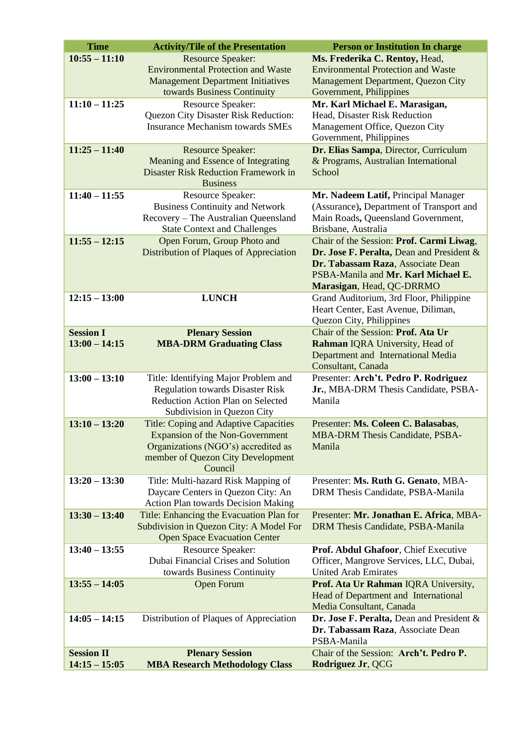| <b>Time</b>                          | <b>Activity/Tile of the Presentation</b>                                                                                                                                      | <b>Person or Institution In charge</b>                                                                                                                                                         |
|--------------------------------------|-------------------------------------------------------------------------------------------------------------------------------------------------------------------------------|------------------------------------------------------------------------------------------------------------------------------------------------------------------------------------------------|
| $10:55 - 11:10$                      | <b>Resource Speaker:</b><br><b>Environmental Protection and Waste</b><br><b>Management Department Initiatives</b><br>towards Business Continuity                              | Ms. Frederika C. Rentoy, Head,<br><b>Environmental Protection and Waste</b><br>Management Department, Quezon City<br>Government, Philippines                                                   |
| $11:10 - 11:25$                      | Resource Speaker:<br>Quezon City Disaster Risk Reduction:<br><b>Insurance Mechanism towards SMEs</b>                                                                          | Mr. Karl Michael E. Marasigan,<br>Head, Disaster Risk Reduction<br>Management Office, Quezon City<br>Government, Philippines                                                                   |
| $11:25 - 11:40$                      | <b>Resource Speaker:</b><br>Meaning and Essence of Integrating<br><b>Disaster Risk Reduction Framework in</b><br><b>Business</b>                                              | Dr. Elias Sampa, Director, Curriculum<br>& Programs, Australian International<br>School                                                                                                        |
| $11:40 - 11:55$                      | Resource Speaker:<br><b>Business Continuity and Network</b><br>Recovery - The Australian Queensland<br><b>State Context and Challenges</b>                                    | Mr. Nadeem Latif, Principal Manager<br>(Assurance), Department of Transport and<br>Main Roads, Queensland Government,<br>Brisbane, Australia                                                   |
| $11:55 - 12:15$                      | Open Forum, Group Photo and<br>Distribution of Plaques of Appreciation                                                                                                        | Chair of the Session: Prof. Carmi Liwag,<br>Dr. Jose F. Peralta, Dean and President &<br>Dr. Tabassam Raza, Associate Dean<br>PSBA-Manila and Mr. Karl Michael E.<br>Marasigan, Head, QC-DRRMO |
| $12:15 - 13:00$                      | <b>LUNCH</b>                                                                                                                                                                  | Grand Auditorium, 3rd Floor, Philippine<br>Heart Center, East Avenue, Diliman,<br>Quezon City, Philippines                                                                                     |
| <b>Session I</b><br>$13:00 - 14:15$  | <b>Plenary Session</b><br><b>MBA-DRM Graduating Class</b>                                                                                                                     | Chair of the Session: Prof. Ata Ur<br>Rahman IQRA University, Head of<br>Department and International Media<br>Consultant, Canada                                                              |
| $13:00 - 13:10$                      | Title: Identifying Major Problem and<br><b>Regulation towards Disaster Risk</b><br>Reduction Action Plan on Selected<br>Subdivision in Quezon City                            | Presenter: Arch't. Pedro P. Rodriguez<br>Jr., MBA-DRM Thesis Candidate, PSBA-<br>Manila                                                                                                        |
| $13:10 - 13:20$                      | <b>Title: Coping and Adaptive Capacities</b><br><b>Expansion of the Non-Government</b><br>Organizations (NGO's) accredited as<br>member of Quezon City Development<br>Council | Presenter: Ms. Coleen C. Balasabas,<br><b>MBA-DRM Thesis Candidate, PSBA-</b><br>Manila                                                                                                        |
| $13:20 - 13:30$                      | Title: Multi-hazard Risk Mapping of<br>Daycare Centers in Quezon City: An<br><b>Action Plan towards Decision Making</b>                                                       | Presenter: Ms. Ruth G. Genato, MBA-<br>DRM Thesis Candidate, PSBA-Manila                                                                                                                       |
| $13:30 - 13:40$                      | Title: Enhancing the Evacuation Plan for<br>Subdivision in Quezon City: A Model For<br><b>Open Space Evacuation Center</b>                                                    | Presenter: Mr. Jonathan E. Africa, MBA-<br>DRM Thesis Candidate, PSBA-Manila                                                                                                                   |
| $13:40 - 13:55$                      | <b>Resource Speaker:</b><br>Dubai Financial Crises and Solution<br>towards Business Continuity                                                                                | Prof. Abdul Ghafoor, Chief Executive<br>Officer, Mangrove Services, LLC, Dubai,<br><b>United Arab Emirates</b>                                                                                 |
| $13:55 - 14:05$                      | <b>Open Forum</b>                                                                                                                                                             | Prof. Ata Ur Rahman IQRA University,<br>Head of Department and International<br>Media Consultant, Canada                                                                                       |
| $14:05 - 14:15$                      | Distribution of Plaques of Appreciation                                                                                                                                       | Dr. Jose F. Peralta, Dean and President &<br>Dr. Tabassam Raza, Associate Dean<br>PSBA-Manila                                                                                                  |
| <b>Session II</b><br>$14:15 - 15:05$ | <b>Plenary Session</b><br><b>MBA Research Methodology Class</b>                                                                                                               | Chair of the Session: Arch't. Pedro P.<br>Rodriguez Jr, QCG                                                                                                                                    |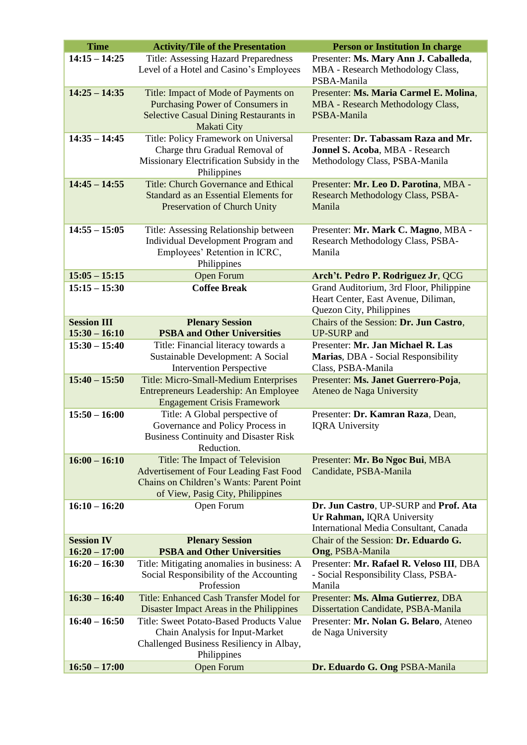| <b>Time</b>                           | <b>Activity/Tile of the Presentation</b>                                                                                                                          | <b>Person or Institution In charge</b>                                                                        |
|---------------------------------------|-------------------------------------------------------------------------------------------------------------------------------------------------------------------|---------------------------------------------------------------------------------------------------------------|
| $14:15 - 14:25$                       | Title: Assessing Hazard Preparedness<br>Level of a Hotel and Casino's Employees                                                                                   | Presenter: Ms. Mary Ann J. Caballeda,<br>MBA - Research Methodology Class,<br>PSBA-Manila                     |
| $14:25 - 14:35$                       | Title: Impact of Mode of Payments on<br>Purchasing Power of Consumers in<br><b>Selective Casual Dining Restaurants in</b><br>Makati City                          | Presenter: Ms. Maria Carmel E. Molina,<br>MBA - Research Methodology Class,<br>PSBA-Manila                    |
| $14:35 - 14:45$                       | Title: Policy Framework on Universal<br>Charge thru Gradual Removal of<br>Missionary Electrification Subsidy in the<br>Philippines                                | Presenter: Dr. Tabassam Raza and Mr.<br>Jonnel S. Acoba, MBA - Research<br>Methodology Class, PSBA-Manila     |
| $14:45 - 14:55$                       | Title: Church Governance and Ethical<br>Standard as an Essential Elements for<br>Preservation of Church Unity                                                     | Presenter: Mr. Leo D. Parotina, MBA -<br>Research Methodology Class, PSBA-<br>Manila                          |
| $14:55 - 15:05$                       | Title: Assessing Relationship between<br>Individual Development Program and<br>Employees' Retention in ICRC,<br>Philippines                                       | Presenter: Mr. Mark C. Magno, MBA -<br>Research Methodology Class, PSBA-<br>Manila                            |
| $15:05 - 15:15$                       | <b>Open Forum</b>                                                                                                                                                 | Arch't. Pedro P. Rodriguez Jr, QCG                                                                            |
| $15:15 - 15:30$                       | <b>Coffee Break</b>                                                                                                                                               | Grand Auditorium, 3rd Floor, Philippine<br>Heart Center, East Avenue, Diliman,<br>Quezon City, Philippines    |
| <b>Session III</b><br>$15:30 - 16:10$ | <b>Plenary Session</b><br><b>PSBA and Other Universities</b>                                                                                                      | Chairs of the Session: Dr. Jun Castro,<br><b>UP-SURP</b> and                                                  |
| $15:30 - 15:40$                       | Title: Financial literacy towards a<br>Sustainable Development: A Social<br><b>Intervention Perspective</b>                                                       | Presenter: Mr. Jan Michael R. Las<br>Marias, DBA - Social Responsibility<br>Class, PSBA-Manila                |
| $15:40 - 15:50$                       | Title: Micro-Small-Medium Enterprises<br>Entrepreneurs Leadership: An Employee<br><b>Engagement Crisis Framework</b>                                              | Presenter: Ms. Janet Guerrero-Poja,<br>Ateneo de Naga University                                              |
| $15:50 - 16:00$                       | Title: A Global perspective of<br>Governance and Policy Process in<br><b>Business Continuity and Disaster Risk</b><br>Reduction.                                  | Presenter: Dr. Kamran Raza, Dean,<br><b>IQRA University</b>                                                   |
| $16:00 - 16:10$                       | Title: The Impact of Television<br><b>Advertisement of Four Leading Fast Food</b><br>Chains on Children's Wants: Parent Point<br>of View, Pasig City, Philippines | Presenter: Mr. Bo Ngoc Bui, MBA<br>Candidate, PSBA-Manila                                                     |
| $16:10 - 16:20$                       | Open Forum                                                                                                                                                        | Dr. Jun Castro, UP-SURP and Prof. Ata<br>Ur Rahman, IQRA University<br>International Media Consultant, Canada |
| <b>Session IV</b>                     | <b>Plenary Session</b>                                                                                                                                            | Chair of the Session: Dr. Eduardo G.                                                                          |
| $16:20 - 17:00$                       | <b>PSBA and Other Universities</b>                                                                                                                                | <b>Ong, PSBA-Manila</b>                                                                                       |
| $16:20 - 16:30$                       | Title: Mitigating anomalies in business: A<br>Social Responsibility of the Accounting<br>Profession                                                               | Presenter: Mr. Rafael R. Veloso III, DBA<br>- Social Responsibility Class, PSBA-<br>Manila                    |
| $16:30 - 16:40$                       | Title: Enhanced Cash Transfer Model for<br>Disaster Impact Areas in the Philippines                                                                               | Presenter: Ms. Alma Gutierrez, DBA<br>Dissertation Candidate, PSBA-Manila                                     |
| $16:40 - 16:50$                       | Title: Sweet Potato-Based Products Value<br>Chain Analysis for Input-Market<br>Challenged Business Resiliency in Albay,<br>Philippines                            | Presenter: Mr. Nolan G. Belaro, Ateneo<br>de Naga University                                                  |
| $16:50 - 17:00$                       | <b>Open Forum</b>                                                                                                                                                 | Dr. Eduardo G. Ong PSBA-Manila                                                                                |